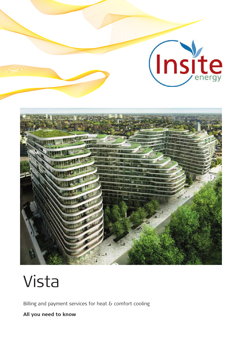

# Vista

Billing and payment services for heat & comfort cooling

**All you need to know**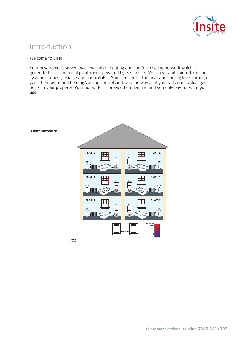

### Introduction

Welcome to Vista.

Your new home is served by a low carbon heating and comfort cooling network which is generated in a communal plant room, powered by gas boilers. Your heat and comfort cooling system is robust, reliable and controllable. You can control the heat and cooling level through your thermostat and heating/cooling controls in the same way as if you had an individual gas boiler in your property. Your hot water is provided on demand and you only pay for what you use.



#### **Customer Services Helpline 0345 2414307**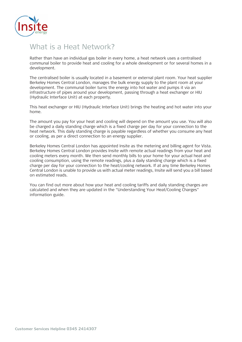

### What is a Heat Network?

Rather than have an individual gas boiler in every home, a heat network uses a centralised communal boiler to provide heat and cooling for a whole development or for several homes in a development.

The centralised boiler is usually located in a basement or external plant room. Your heat supplier Berkeley Homes Central London, manages the bulk energy supply to the plant room at your development. The communal boiler turns the energy into hot water and pumps it via an infrastructure of pipes around your development, passing through a heat exchanger or HIU (Hydraulic Interface Unit) at each property.

This heat exchanger or HIU (Hydraulic Interface Unit) brings the heating and hot water into your home.

The amount you pay for your heat and cooling will depend on the amount you use. You will also be charged a daily standing charge which is a fixed charge per day for your connection to the heat network. This daily standing charge is payable regardless of whether you consume any heat or cooling, as per a direct connection to an energy supplier.

Berkeley Homes Central London has appointed Insite as the metering and billing agent for Vista. Berkeley Homes Central London provides Insite with remote actual readings from your heat and cooling meters every month. We then send monthly bills to your home for your actual heat and cooling consumption, using the remote readings, plus a daily standing charge which is a fixed charge per day for your connection to the heat/cooling network. If at any time Berkeley Homes Central London is unable to provide us with actual meter readings, Insite will send you a bill based on estimated reads.

You can find out more about how your heat and cooling tariffs and daily standing charges are calculated and when they are updated in the "Understanding Your Heat/Cooling Charges" information guide.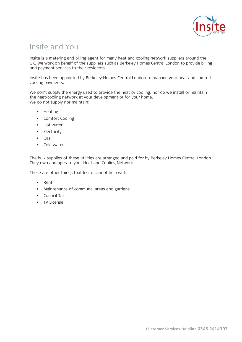

### Insite and You

Insite is a metering and billing agent for many heat and cooling network suppliers around the UK. We work on behalf of the suppliers such as Berkeley Homes Central London to provide billing and payment services to their residents.

Insite has been appointed by Berkeley Homes Central London to manage your heat and comfort cooling payments.

We don't supply the energy used to provide the heat or cooling, nor do we install or maintain the heat/cooling network at your development or for your home. We do not supply nor maintain:

- Heating
- Comfort Cooling
- Hot water
- Electricity
- Gas
- Cold water

The bulk supplies of these utilities are arranged and paid for by Berkeley Homes Central London. They own and operate your Heat and Cooling Network.

These are other things that Insite cannot help with:

- Rent
- Maintenance of communal areas and gardens
- Council Tax
- TV License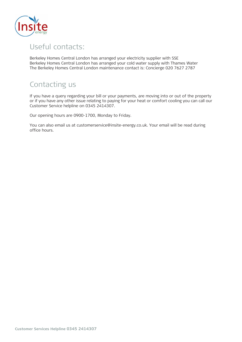

## Useful contacts:

Berkeley Homes Central London has arranged your electricity supplier with SSE Berkeley Homes Central London has arranged your cold water supply with Thames Water The Berkeley Homes Central London maintenance contact is: Concierge 020 7627 2787

# Contacting us

If you have a query regarding your bill or your payments, are moving into or out of the property or if you have any other issue relating to paying for your heat or comfort cooling you can call our Customer Service helpline on 0345 2414307.

Our opening hours are 0900-1700, Monday to Friday.

You can also email us at customerservice@insite-energy.co.uk. Your email will be read during office hours.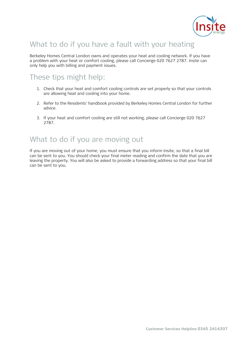

# What to do if you have a fault with your heating

Berkeley Homes Central London owns and operates your heat and cooling network. If you have a problem with your heat or comfort cooling, please call Concierge 020 7627 2787. Insite can only help you with billing and payment issues.

### These tips might help:

- 1. Check that your heat and comfort cooling controls are set properly so that your controls are allowing heat and cooling into your home.
- 2. Refer to the Residents' handbook provided by Berkeley Homes Central London for further advice.
- 3. If your heat and comfort cooling are still not working, please call Concierge 020 7627 2787.

### What to do if you are moving out

If you are moving out of your home, you must ensure that you inform Insite, so that a final bill can be sent to you. You should check your final meter reading and confirm the date that you are leaving the property. You will also be asked to provide a forwarding address so that your final bill can be sent to you.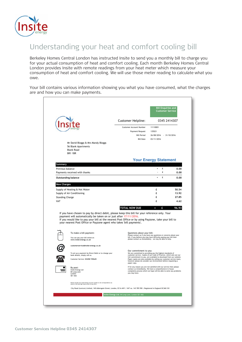

# Understanding your heat and comfort cooling bill

Berkeley Homes Central London has instructed Insite to send you a monthly bill to charge you for your actual consumption of heat and comfort cooling. Each month Berkeley Homes Central London provides Insite with remote readings from your heat meter which measure your consumption of heat and comfort cooling. We will use those meter reading to calculate what you owe.

Your bill contains various information showing you what you have consumed, what the charges are and how you can make payments.

|                             |                                                                                                                                                                                                                                                                                                                                                                                                                                              | Customer Helpline:                                                                   | 0345 2414307<br>11110001<br>135521<br>26/08/2016 - 31/10/2016<br>03/11/2016                                                                                                                                                                                                                                                                          |               |  |
|-----------------------------|----------------------------------------------------------------------------------------------------------------------------------------------------------------------------------------------------------------------------------------------------------------------------------------------------------------------------------------------------------------------------------------------------------------------------------------------|--------------------------------------------------------------------------------------|------------------------------------------------------------------------------------------------------------------------------------------------------------------------------------------------------------------------------------------------------------------------------------------------------------------------------------------------------|---------------|--|
|                             |                                                                                                                                                                                                                                                                                                                                                                                                                                              | Customer Account Number<br>Payment Request<br><b>Bill Period</b><br><b>Bill Date</b> |                                                                                                                                                                                                                                                                                                                                                      |               |  |
|                             | Mr David Bloggs & Mrs Mandy Bloggs<br>56 Blank Apartments<br><b>Blank Road</b><br><b>BR1 1BR</b>                                                                                                                                                                                                                                                                                                                                             |                                                                                      |                                                                                                                                                                                                                                                                                                                                                      |               |  |
|                             |                                                                                                                                                                                                                                                                                                                                                                                                                                              |                                                                                      | <b>Your Energy Statement</b>                                                                                                                                                                                                                                                                                                                         |               |  |
| Summary<br>Previous balance |                                                                                                                                                                                                                                                                                                                                                                                                                                              |                                                                                      | £<br>$=$                                                                                                                                                                                                                                                                                                                                             | 0.00          |  |
|                             | Payments received with thanks                                                                                                                                                                                                                                                                                                                                                                                                                |                                                                                      | £                                                                                                                                                                                                                                                                                                                                                    | 0.00          |  |
|                             | <b>Outstanding balance</b>                                                                                                                                                                                                                                                                                                                                                                                                                   |                                                                                      | £<br>$=$                                                                                                                                                                                                                                                                                                                                             | 0.00          |  |
| <b>New Charges</b>          |                                                                                                                                                                                                                                                                                                                                                                                                                                              |                                                                                      |                                                                                                                                                                                                                                                                                                                                                      |               |  |
|                             | Supply of Heating & Hot Water                                                                                                                                                                                                                                                                                                                                                                                                                |                                                                                      | £                                                                                                                                                                                                                                                                                                                                                    | 50.54         |  |
|                             | Supply of Air Conditioning                                                                                                                                                                                                                                                                                                                                                                                                                   |                                                                                      | £                                                                                                                                                                                                                                                                                                                                                    | 13.92         |  |
|                             |                                                                                                                                                                                                                                                                                                                                                                                                                                              |                                                                                      |                                                                                                                                                                                                                                                                                                                                                      | 27.85         |  |
| <b>Standing Charge</b>      |                                                                                                                                                                                                                                                                                                                                                                                                                                              |                                                                                      | £                                                                                                                                                                                                                                                                                                                                                    |               |  |
| VAT                         |                                                                                                                                                                                                                                                                                                                                                                                                                                              | TOTAL NOW DUE                                                                        | £<br>£<br>ш                                                                                                                                                                                                                                                                                                                                          | 4.62<br>96.93 |  |
|                             | If you have chosen to pay by direct debit, please keep this bill for your reference only. Your<br>payment will automatically be taken on or just after 17/11/2016.<br>If you would like to pay your bill at the nearest Post Office or by using Payzone, take your bill to<br>your nearest Post Office or Payzone agent who takes 'bill payments'.<br>To make a bill payment:<br>You can pay your bill online at:<br>www.insite-energy.co.uk | Questions about your bill:                                                           | Please contact us if you have any questions or concerns about your<br>bill. If you believe you may have difficulty paying your bill then<br>please contact us immediately - we may be able to help.                                                                                                                                                  |               |  |
|                             | customerservice@insite-energy.co.uk<br>To set up a payment by Direct Debit or to change your<br>bank details, simply call us.<br>Customer Service: 03458 729645                                                                                                                                                                                                                                                                              | Our commitment to you:<br>paper copy.                                                | We are committed to providing you the highest standards of<br>customer service. Copies of our Code of Practice, which sets out our<br>full commitment to you, are available to download from our website.<br>Paper copies are also available by calling our customer service team,<br>however please do consider our environment before requesting a |               |  |
|                             | By post:<br>Insite Energy Ltd<br>84 Long Lane<br>London<br>SE1 4AU                                                                                                                                                                                                                                                                                                                                                                           | you may have.                                                                        | If for any reason you are not satisfied with our service then please<br>contact us immediately. We have a comprehensive in-house<br>complaints process which we hope will be able to solve any problems                                                                                                                                              |               |  |
|                             | Please include your Insite Energy account number on all correspondence (as<br>shown in the top right hand corner of your bill.)                                                                                                                                                                                                                                                                                                              |                                                                                      |                                                                                                                                                                                                                                                                                                                                                      |               |  |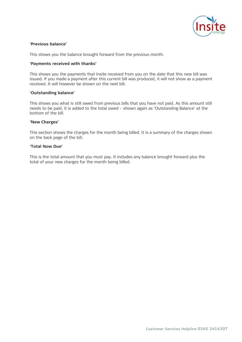

#### **'Previous balance'**

This shows you the balance brought forward from the previous month.

#### **'Payments received with thanks'**

This shows you the payments that Insite received from you on the date that this new bill was issued. If you made a payment after this current bill was produced, it will not show as a payment received. It will however be shown on the next bill.

#### **'Outstanding balance'**

This shows you what is still owed from previous bills that you have not paid. As this amount still needs to be paid, it is added to the total owed – shown again as 'Outstanding Balance' at the bottom of the bill.

#### **'New Charges'**

This section shows the charges for the month being billed. It is a summary of the charges shown on the back page of the bill.

#### **'Total Now Due'**

This is the total amount that you must pay. It includes any balance brought forward plus the total of your new charges for the month being billed.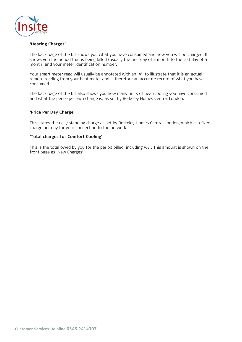

#### **'Heating Charges'**

The back page of the bill shows you what you have consumed and how you will be charged. It shows you the period that is being billed (usually the first day of a month to the last day of a month) and your meter identification number.

Your smart meter read will usually be annotated with an 'A', to illustrate that it is an actual remote reading from your heat meter and is therefore an accurate record of what you have consumed.

The back page of the bill also shows you how many units of heat/cooling you have consumed and what the pence per kwh charge is, as set by Berkeley Homes Central London.

#### **'Price Per Day Charge'**

This states the daily standing charge as set by Berkeley Homes Central London, which is a fixed charge per day for your connection to the network.

#### **'Total charges for Comfort Cooling'**

This is the total owed by you for the period billed, including VAT. This amount is shown on the front page as 'New Charges'.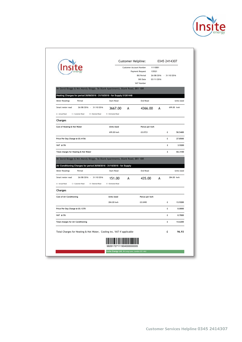

|                                                                                                             |                    | Customer Helpline:<br>Customer Account Number<br>Payment Request |                                                      | 0345 2414307<br>11110001<br>135521    |   |                   |
|-------------------------------------------------------------------------------------------------------------|--------------------|------------------------------------------------------------------|------------------------------------------------------|---------------------------------------|---|-------------------|
|                                                                                                             |                    |                                                                  | <b>Bill Period</b><br><b>Bill Date</b><br>VAT Number | 26/08/2016 - 31/10/2016<br>03/11/2016 |   |                   |
| Mr David Bloggs & Mrs Mandy Bloggs, 56 Blank Apartments, Blank Road, BR1 1BR                                |                    |                                                                  |                                                      |                                       |   |                   |
| Heating Charges for period 26/08/2016 - 31/10/2016 - for Supply 51261448<br><b>Meter Readings</b><br>Period | <b>Start Read</b>  |                                                                  | End Read                                             |                                       |   | <b>Units Used</b> |
| Smart meter read<br>26/08/2016 - 31/10/2016                                                                 | 3667.00            | A                                                                |                                                      | 699.00 kwh<br>4366.00<br>A            |   |                   |
| A - Actual Read<br>C = Customer Read<br>D = Deemed Read                                                     | E = Estimated Read |                                                                  |                                                      |                                       |   |                   |
| Charges                                                                                                     |                    |                                                                  |                                                      |                                       |   |                   |
| Cost of Heating & Hot Water                                                                                 | <b>Units Used</b>  |                                                                  | Pence per kwh                                        |                                       |   |                   |
|                                                                                                             | 699.00 kwh         |                                                                  | £0.0723                                              |                                       | £ | 50.5400           |
| Price Per Day Charge @ £0.4156                                                                              |                    |                                                                  |                                                      |                                       | £ | 27.8500           |
| VAT @ 5%                                                                                                    |                    |                                                                  |                                                      |                                       | £ | 3,9200            |
| Total charges for Heating & Hot Water                                                                       |                    |                                                                  |                                                      |                                       | £ | 82.3100           |
|                                                                                                             |                    |                                                                  |                                                      |                                       |   |                   |
| Mr David Bloggs & Mrs Mandy Bloggs, 56 Blank Apartments, Blank Road, BR1 1BR                                |                    |                                                                  |                                                      |                                       |   |                   |
| Air Conditioning Charges for period 26/08/2016 - 31/10/2016 - for Supply                                    |                    |                                                                  |                                                      |                                       |   |                   |
| Period                                                                                                      | <b>Start Read</b>  |                                                                  | <b>End Read</b>                                      |                                       |   | <b>Units Used</b> |
| <b>Meter Readings</b><br>26/08/2016 - 31/10/2016<br>Smart meter read                                        | 151.00             | A                                                                | 435.00                                               | A                                     |   | 284.00 kwh        |
| C = Customer Read<br>D = Deemed Read                                                                        | E = Estimated Read |                                                                  |                                                      |                                       |   |                   |
| A - Actual Read<br>Charges                                                                                  |                    |                                                                  |                                                      |                                       |   |                   |
| <b>Cost of Air Conditioning</b>                                                                             | <b>Units Used</b>  |                                                                  | Pence per kwh                                        |                                       |   |                   |
|                                                                                                             | 284.00 kwh         |                                                                  | £0.0490                                              |                                       | £ | 13,9200           |
| Price Per Day Charge @ £0.1370                                                                              |                    |                                                                  |                                                      |                                       | £ | 0.0000            |
| VAT @ 5%                                                                                                    |                    |                                                                  |                                                      |                                       | £ | 0.7000            |
| <b>Total charges for Air Conditioning</b>                                                                   |                    |                                                                  |                                                      |                                       | £ |                   |
| Total Charges for Heating & Hot Water, Cooling inc. VAT if applicable                                       |                    |                                                                  |                                                      |                                       | £ | 14.6200<br>96.93  |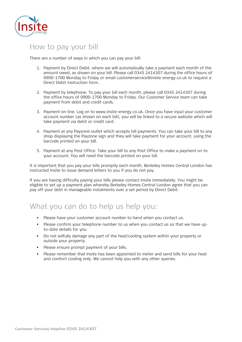

### How to pay your bill

There are a number of ways in which you can pay your bill:

- 1. Payment by Direct Debit, where we will automatically take a payment each month of the amount owed, as shown on your bill. Please call 0345 2414307 during the office hours of 0900-1700 Monday to Friday or email customerservice@insite-energy.co.uk to request a Direct Debit instruction form.
- 2. Payment by telephone. To pay your bill each month, please call 0345 2414307 during the office hours of 0900-1700 Monday to Friday. Our Customer Service team can take payment from debit and credit cards.
- 3. Payment on-line. Log on to www.insite-energy.co.uk. Once you have input your customer account number (as shown on each bill), you will be linked to a secure website which will take payment via debit or credit card.
- 4. Payment at any Payzone outlet which accepts bill payments. You can take your bill to any shop displaying the Payzone sign and they will take payment for your account, using the barcode printed on your bill.
- 5. Payment at any Post Office. Take your bill to any Post Office to make a payment on to your account. You will need the barcode printed on your bill.

It is important that you pay your bills promptly each month. Berkeley Homes Central London has instructed Insite to issue demand letters to you if you do not pay.

If you are having difficulty paying your bills please contact Insite immediately. You might be eligible to set up a payment plan whereby Berkeley Homes Central London agree that you can pay off your debt in manageable instalments over a set period by Direct Debit.

### What you can do to help us help you:

- Please have your customer account number to hand when you contact us.
- Please confirm your telephone number to us when you contact us so that we have upto-date details for you.
- Do not wilfully damage any part of the heat/cooling system within your property or outside your property.
- Please ensure prompt payment of your bills.
- Please remember that Insite has been appointed to meter and send bills for your heat and comfort cooling only. We cannot help you with any other queries.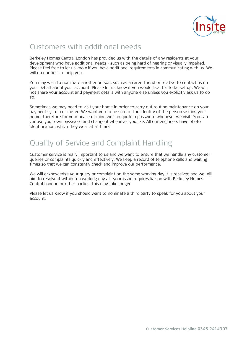

# Customers with additional needs

Berkeley Homes Central London has provided us with the details of any residents at your development who have additional needs - such as being hard of hearing or visually impaired. Please feel free to let us know if you have additional requirements in communicating with us. We will do our best to help you.

You may wish to nominate another person, such as a carer, friend or relative to contact us on your behalf about your account. Please let us know if you would like this to be set up. We will not share your account and payment details with anyone else unless you explicitly ask us to do so.

Sometimes we may need to visit your home in order to carry out routine maintenance on your payment system or meter. We want you to be sure of the identity of the person visiting your home, therefore for your peace of mind we can quote a password whenever we visit. You can choose your own password and change it whenever you like. All our engineers have photo identification, which they wear at all times.

# Quality of Service and Complaint Handling

Customer service is really important to us and we want to ensure that we handle any customer queries or complaints quickly and effectively. We keep a record of telephone calls and waiting times so that we can constantly check and improve our performance.

We will acknowledge your query or complaint on the same working day it is received and we will aim to resolve it within ten working days. If your issue requires liaison with Berkeley Homes Central London or other parties, this may take longer.

Please let us know if you should want to nominate a third party to speak for you about your account.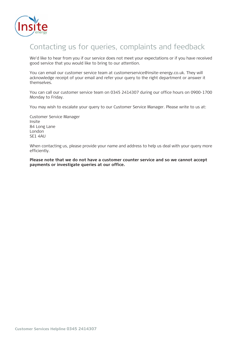

## Contacting us for queries, complaints and feedback

We'd like to hear from you if our service does not meet your expectations or if you have received good service that you would like to bring to our attention.

You can email our customer service team at customerservice@insite-energy.co.uk. They will acknowledge receipt of your email and refer your query to the right department or answer it themselves.

You can call our customer service team on 0345 2414307 during our office hours on 0900-1700 Monday to Friday.

You may wish to escalate your query to our Customer Service Manager. Please write to us at:

Customer Service Manager Insite 84 Long Lane London SE1 4AU

When contacting us, please provide your name and address to help us deal with your query more efficiently.

**Please note that we do not have a customer counter service and so we cannot accept payments or investigate queries at our office.**